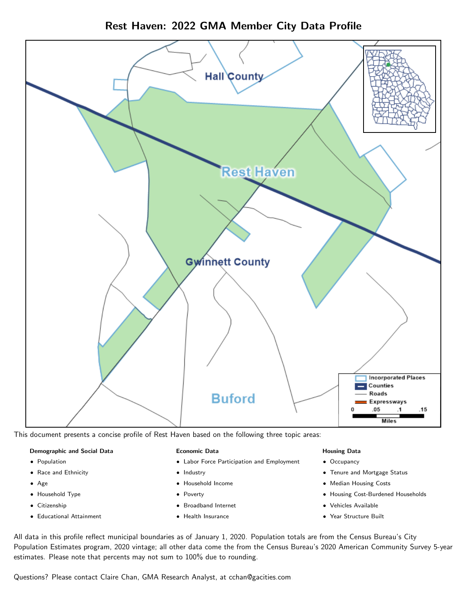



This document presents a concise profile of Rest Haven based on the following three topic areas:

#### Demographic and Social Data

- **•** Population
- Race and Ethnicity
- Age
- Household Type
- **Citizenship**
- Educational Attainment

#### Economic Data

- Labor Force Participation and Employment
- Industry
- Household Income
- Poverty
- Broadband Internet
- Health Insurance

#### Housing Data

- Occupancy
- Tenure and Mortgage Status
- Median Housing Costs
- Housing Cost-Burdened Households
- Vehicles Available
- Year Structure Built

All data in this profile reflect municipal boundaries as of January 1, 2020. Population totals are from the Census Bureau's City Population Estimates program, 2020 vintage; all other data come the from the Census Bureau's 2020 American Community Survey 5-year estimates. Please note that percents may not sum to 100% due to rounding.

Questions? Please contact Claire Chan, GMA Research Analyst, at [cchan@gacities.com.](mailto:cchan@gacities.com)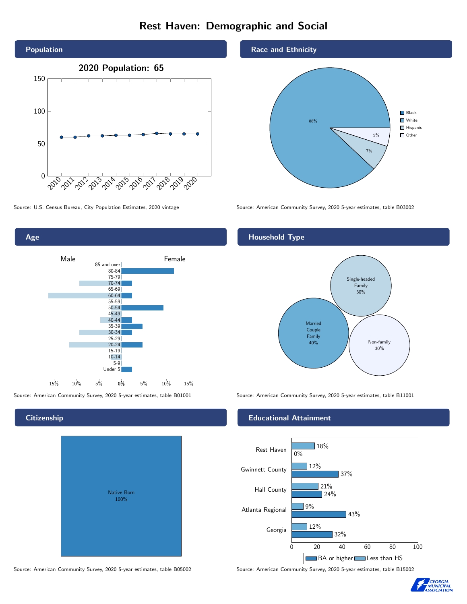# Rest Haven: Demographic and Social





**Citizenship** 

# Native Born 100%

#### Race and Ethnicity



Source: U.S. Census Bureau, City Population Estimates, 2020 vintage Source: American Community Survey, 2020 5-year estimates, table B03002

### Household Type



Source: American Community Survey, 2020 5-year estimates, table B01001 Source: American Community Survey, 2020 5-year estimates, table B11001

#### Educational Attainment



Source: American Community Survey, 2020 5-year estimates, table B05002 Source: American Community Survey, 2020 5-year estimates, table B15002

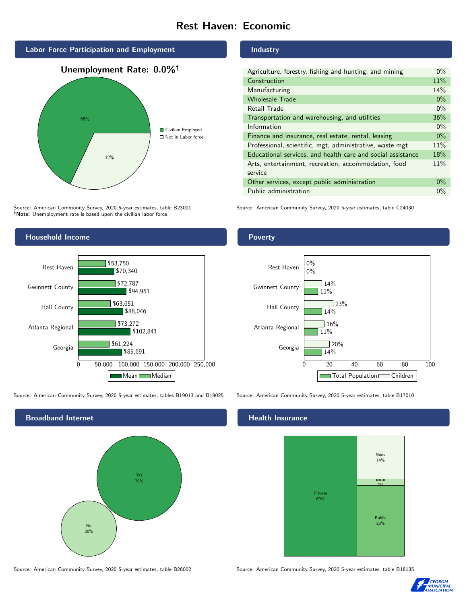# Rest Haven: Economic



Source: American Community Survey, 2020 5-year estimates, table B23001 Note: Unemployment rate is based upon the civilian labor force.

#### Household Income 0 50,000 100,000 150,000 200,000 250,000 Georgia Atlanta Regional Hall County Gwinnett County Rest Haven \$85,691 \$102,841 \$88,046 \$94,951 \$70,340 \$61,224 \$73,272 \$63,651 \$72,787 \$53,750 Mean Median

Source: American Community Survey, 2020 5-year estimates, tables B19013 and B19025 Source: American Community Survey, 2020 5-year estimates, table B17010



Industry

Poverty

| Agriculture, forestry, fishing and hunting, and mining      | $0\%$ |
|-------------------------------------------------------------|-------|
| Construction                                                | 11%   |
| Manufacturing                                               | 14%   |
| <b>Wholesale Trade</b>                                      | $0\%$ |
| Retail Trade                                                | $0\%$ |
| Transportation and warehousing, and utilities               | 36%   |
| Information                                                 | $0\%$ |
| Finance and insurance, real estate, rental, leasing         | $0\%$ |
| Professional, scientific, mgt, administrative, waste mgt    | 11%   |
| Educational services, and health care and social assistance | 18%   |
| Arts, entertainment, recreation, accommodation, food        | 11%   |
| service                                                     |       |
| Other services, except public administration                | $0\%$ |
| Public administration                                       | $0\%$ |

Source: American Community Survey, 2020 5-year estimates, table C24030



#### Health Insurance



Source: American Community Survey, 2020 5-year estimates, table B28002 Source: American Community Survey, 2020 5-year estimates, table B18135